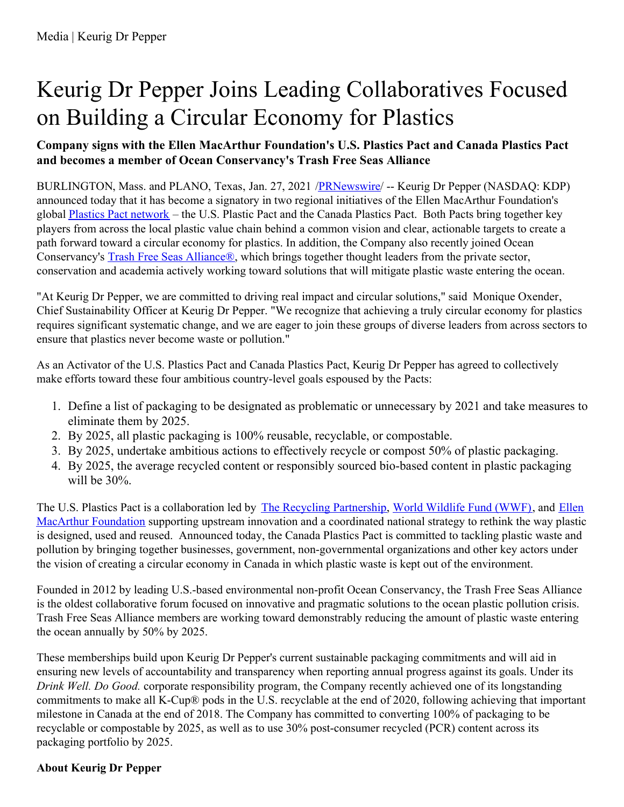## Keurig Dr Pepper Joins Leading Collaboratives Focused on Building a Circular Economy for Plastics

## **Company signs with the Ellen MacArthur Foundation's U.S. Plastics Pact and Canada Plastics Pact and becomes a member of Ocean Conservancy's Trash Free Seas Alliance**

BURLINGTON, Mass. and PLANO, Texas, Jan. 27, 2021 [/PRNewswire](http://www.prnewswire.com/)/ -- Keurig Dr Pepper (NASDAQ: KDP) announced today that it has become a signatory in two regional initiatives of the Ellen MacArthur Foundation's global Plastics Pact [network](https://c212.net/c/link/?t=0&l=en&o=3048971-1&h=3747328633&u=https%3A%2F%2Fwww.ellenmacarthurfoundation.org%2Four-work%2Factivities%2Fnew-plastics-economy%2Fplastics-pact&a=Plastics+Pact+network) – the U.S. Plastic Pact and the Canada Plastics Pact. Both Pacts bring together key players from across the local plastic value chain behind a common vision and clear, actionable targets to create a path forward toward a circular economy for plastics. In addition, the Company also recently joined Ocean Conservancy's Trash Free Seas [Alliance®](https://c212.net/c/link/?t=0&l=en&o=3048971-1&h=3867253514&u=https%3A%2F%2Foceanconservancy.org%2Ftrash-free-seas%2Fplastics-in-the-ocean%2Ftrash-free-seas-alliance&a=Trash+Free+Seas+Alliance%C2%AE), which brings together thought leaders from the private sector, conservation and academia actively working toward solutions that will mitigate plastic waste entering the ocean.

"At Keurig Dr Pepper, we are committed to driving real impact and circular solutions," said Monique Oxender, Chief Sustainability Officer at Keurig Dr Pepper. "We recognize that achieving a truly circular economy for plastics requires significant systematic change, and we are eager to join these groups of diverse leaders from across sectors to ensure that plastics never become waste or pollution."

As an Activator of the U.S. Plastics Pact and Canada Plastics Pact, Keurig Dr Pepper has agreed to collectively make efforts toward these four ambitious country-level goals espoused by the Pacts:

- 1. Define a list of packaging to be designated as problematic or unnecessary by 2021 and take measures to eliminate them by 2025.
- 2. By 2025, all plastic packaging is 100% reusable, recyclable, or compostable.
- 3. By 2025, undertake ambitious actions to effectively recycle or compost 50% of plastic packaging.
- 4. By 2025, the average recycled content or responsibly sourced bio-based content in plastic packaging will be 30%.

The U.S. Plastics Pact is a [collaboration](https://c212.net/c/link/?t=0&l=en&o=3048971-1&h=1535613664&u=https%3A%2F%2Fwww.ellenmacarthurfoundation.org%2F&a=Ellen+MacArthur+Foundation) led by The Recycling [Partnership](https://c212.net/c/link/?t=0&l=en&o=3048971-1&h=452334904&u=https%3A%2F%2Frecyclingpartnership.org%2F&a=The+Recycling+Partnership), World [Wildlife](https://c212.net/c/link/?t=0&l=en&o=3048971-1&h=3342512636&u=https%3A%2F%2Fwww.worldwildlife.org%2F&a=World+Wildlife+Fund+(WWF)) Fund (WWF), and Ellen MacArthur Foundation supporting upstream innovation and a coordinated national strategy to rethink the way plastic is designed, used and reused. Announced today, the Canada Plastics Pact is committed to tackling plastic waste and pollution by bringing together businesses, government, non-governmental organizations and other key actors under the vision of creating a circular economy in Canada in which plastic waste is kept out of the environment.

Founded in 2012 by leading U.S.-based environmental non-profit Ocean Conservancy, the Trash Free Seas Alliance is the oldest collaborative forum focused on innovative and pragmatic solutions to the ocean plastic pollution crisis. Trash Free Seas Alliance members are working toward demonstrably reducing the amount of plastic waste entering the ocean annually by 50% by 2025.

These memberships build upon Keurig Dr Pepper's current sustainable packaging commitments and will aid in ensuring new levels of accountability and transparency when reporting annual progress against its goals. Under its *Drink Well. Do Good.* corporate responsibility program, the Company recently achieved one of its longstanding commitments to make all K-Cup® pods in the U.S. recyclable at the end of 2020, following achieving that important milestone in Canada at the end of 2018. The Company has committed to converting 100% of packaging to be recyclable or compostable by 2025, as well as to use 30% post-consumer recycled (PCR) content across its packaging portfolio by 2025.

## **About Keurig Dr Pepper**